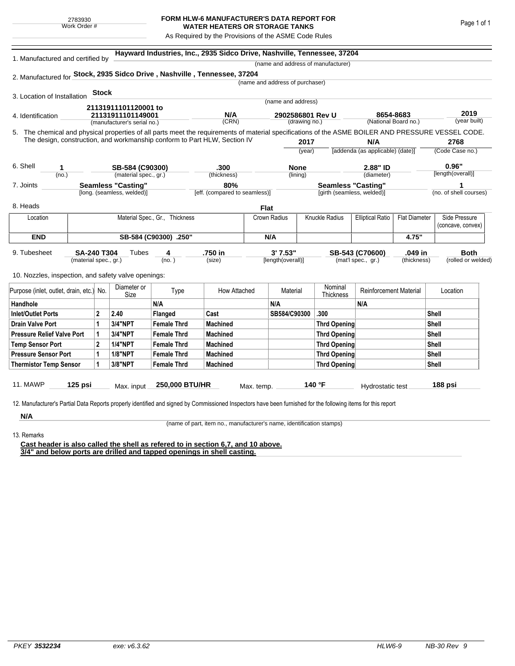## **FORM HLW-6 MANUFACTURER'S DATA REPORT FOR WATER HEATERS OR STORAGE TANKS**

As Required by the Provisions of the ASME Code Rules

| 1. Manufactured and certified by                                                                                                                              |                                                                           |                                |                             |                    | Hayward Industries, Inc., 2935 Sidco Drive, Nashville, Tennessee, 37204 |                                 |                   |                           |                                    |                                         |                      |                   |                        |  |
|---------------------------------------------------------------------------------------------------------------------------------------------------------------|---------------------------------------------------------------------------|--------------------------------|-----------------------------|--------------------|-------------------------------------------------------------------------|---------------------------------|-------------------|---------------------------|------------------------------------|-----------------------------------------|----------------------|-------------------|------------------------|--|
|                                                                                                                                                               |                                                                           |                                |                             |                    |                                                                         |                                 |                   |                           | (name and address of manufacturer) |                                         |                      |                   |                        |  |
| 2. Manufactured for Stock, 2935 Sidco Drive, Nashville, Tennessee, 37204                                                                                      |                                                                           |                                |                             |                    |                                                                         |                                 |                   |                           |                                    |                                         |                      |                   |                        |  |
|                                                                                                                                                               |                                                                           |                                |                             |                    |                                                                         | (name and address of purchaser) |                   |                           |                                    |                                         |                      |                   |                        |  |
| 3. Location of Installation                                                                                                                                   |                                                                           | <b>Stock</b>                   |                             |                    |                                                                         |                                 |                   |                           |                                    |                                         |                      |                   |                        |  |
|                                                                                                                                                               | 21131911101120001 to                                                      |                                |                             |                    |                                                                         | (name and address)              |                   |                           |                                    |                                         |                      |                   |                        |  |
| 21131911101149001<br>4. Identification                                                                                                                        |                                                                           |                                |                             | N/A                |                                                                         | 2902586801 Rev U                |                   |                           |                                    | 8654-8683<br>(National Board no.)       |                      |                   | 2019<br>(year built)   |  |
|                                                                                                                                                               |                                                                           |                                | (manufacturer's serial no.) |                    | (CRN)                                                                   |                                 |                   | (drawing no.)             |                                    |                                         |                      |                   |                        |  |
| 5. The chemical and physical properties of all parts meet the requirements of material specifications of the ASME BOILER AND PRESSURE VESSEL CODE.            |                                                                           |                                |                             |                    |                                                                         |                                 |                   |                           |                                    |                                         |                      |                   |                        |  |
|                                                                                                                                                               | The design, construction, and workmanship conform to Part HLW, Section IV |                                |                             |                    |                                                                         | 2017                            |                   |                           |                                    | N/A<br>[addenda (as applicable) (date)] |                      |                   | 2768                   |  |
|                                                                                                                                                               |                                                                           |                                |                             |                    |                                                                         | (year)                          |                   |                           |                                    |                                         |                      |                   | (Code Case no.)        |  |
| 6. Shell<br>1                                                                                                                                                 |                                                                           |                                | SB-584 (C90300)             |                    | .300                                                                    |                                 | <b>None</b>       |                           |                                    | 2.88" ID                                |                      |                   | 0.96"                  |  |
| (no.)                                                                                                                                                         |                                                                           |                                | (material spec., gr.)       |                    | (thickness)                                                             |                                 | (lining)          |                           | (diameter)                         |                                         |                      | [length(overall)] |                        |  |
| 7. Joints                                                                                                                                                     |                                                                           |                                | <b>Seamless "Casting"</b>   |                    | 80%                                                                     |                                 |                   | <b>Seamless "Casting"</b> |                                    |                                         |                      |                   | 1                      |  |
|                                                                                                                                                               |                                                                           |                                | [long. (seamless, welded)]  |                    | [eff. (compared to seamless)]                                           |                                 |                   |                           | [girth (seamless, welded)]         |                                         |                      |                   | (no. of shell courses) |  |
| 8. Heads                                                                                                                                                      |                                                                           |                                |                             |                    |                                                                         | Flat                            |                   |                           |                                    |                                         |                      |                   |                        |  |
| Location                                                                                                                                                      |                                                                           | Material Spec., Gr., Thickness |                             |                    |                                                                         |                                 | Crown Radius      |                           | <b>Knuckle Radius</b>              | <b>Elliptical Ratio</b>                 | <b>Flat Diameter</b> |                   | Side Pressure          |  |
|                                                                                                                                                               |                                                                           |                                |                             |                    |                                                                         |                                 |                   |                           |                                    |                                         |                      |                   | (concave, convex)      |  |
| <b>END</b>                                                                                                                                                    | SB-584 (C90300) .250"                                                     |                                |                             |                    |                                                                         |                                 | N/A               |                           |                                    |                                         | 4.75"                |                   |                        |  |
| 9. Tubesheet<br>SA-240 T304                                                                                                                                   |                                                                           |                                | Tubes                       | .750 in<br>4       |                                                                         | 3'7.53''                        |                   | SB-543 (C70600)           |                                    | .049 in                                 | <b>Both</b>          |                   |                        |  |
|                                                                                                                                                               | (material spec., gr.)                                                     |                                |                             | (no. )             | (size)                                                                  |                                 | [length(overall)] |                           |                                    | (mat'l spec., gr.)                      | (thickness)          |                   | (rolled or welded)     |  |
|                                                                                                                                                               |                                                                           |                                |                             |                    |                                                                         |                                 |                   |                           |                                    |                                         |                      |                   |                        |  |
| 10. Nozzles, inspection, and safety valve openings:                                                                                                           |                                                                           |                                |                             |                    |                                                                         |                                 |                   |                           |                                    |                                         |                      |                   |                        |  |
| Purpose (inlet, outlet, drain, etc.)                                                                                                                          |                                                                           | No.                            | Diameter or<br>Size         | Type               | How Attached                                                            |                                 | Material          |                           | Nominal<br><b>Thickness</b>        | <b>Reinforcement Material</b>           |                      |                   | Location               |  |
| Handhole                                                                                                                                                      |                                                                           |                                |                             | N/A                |                                                                         |                                 | N/A               |                           |                                    | N/A                                     |                      |                   |                        |  |
| <b>Inlet/Outlet Ports</b>                                                                                                                                     |                                                                           | $\mathbf 2$                    | 2.40                        | Flanged            | Cast                                                                    |                                 | SB584/C90300      |                           | .300                               |                                         |                      | Shell             |                        |  |
| <b>Drain Valve Port</b>                                                                                                                                       |                                                                           | 1                              | <b>3/4"NPT</b>              | <b>Female Thrd</b> | <b>Machined</b>                                                         |                                 |                   |                           | <b>Thrd Opening</b>                |                                         | Shell                |                   |                        |  |
| <b>Pressure Relief Valve Port</b>                                                                                                                             |                                                                           | 1                              | <b>3/4"NPT</b>              | <b>Female Thrd</b> | <b>Machined</b>                                                         |                                 |                   |                           | <b>Thrd Opening</b>                |                                         |                      | Shell             |                        |  |
| <b>Temp Sensor Port</b>                                                                                                                                       |                                                                           | $\mathbf 2$                    | <b>1/4"NPT</b>              | <b>Female Thrd</b> | <b>Machined</b>                                                         |                                 |                   |                           | Thrd Opening                       |                                         |                      | Shell             |                        |  |
| <b>Pressure Sensor Port</b>                                                                                                                                   |                                                                           | 1                              | <b>1/8"NPT</b>              | <b>Female Thrd</b> | <b>Machined</b>                                                         |                                 |                   |                           | Thrd Opening                       |                                         | Shell                |                   |                        |  |
| <b>Thermistor Temp Sensor</b>                                                                                                                                 |                                                                           | 1                              | 3/8"NPT                     | <b>Female Thrd</b> | <b>Machined</b>                                                         |                                 |                   |                           | Thrd Opening                       |                                         |                      | Shell             |                        |  |
|                                                                                                                                                               |                                                                           |                                |                             |                    |                                                                         |                                 |                   |                           |                                    |                                         |                      |                   |                        |  |
| <b>11. MAWP</b>                                                                                                                                               | 125 psi                                                                   |                                | Max. input                  | 250,000 BTU/HR     |                                                                         | Max. temp.                      |                   |                           | 140 °F                             | Hydrostatic test                        |                      |                   | 188 psi                |  |
|                                                                                                                                                               |                                                                           |                                |                             |                    |                                                                         |                                 |                   |                           |                                    |                                         |                      |                   |                        |  |
| 12. Manufacturer's Partial Data Reports properly identified and signed by Commissioned Inspectors have been furnished for the following items for this report |                                                                           |                                |                             |                    |                                                                         |                                 |                   |                           |                                    |                                         |                      |                   |                        |  |
|                                                                                                                                                               |                                                                           |                                |                             |                    |                                                                         |                                 |                   |                           |                                    |                                         |                      |                   |                        |  |

13. Remarks

(name of part, item no., manufacturer's name, identification stamps)

**Cast header is also called the shell as refered to in section 6,7, and 10 above. 3/4" and below ports are drilled and tapped openings in shell casting.**